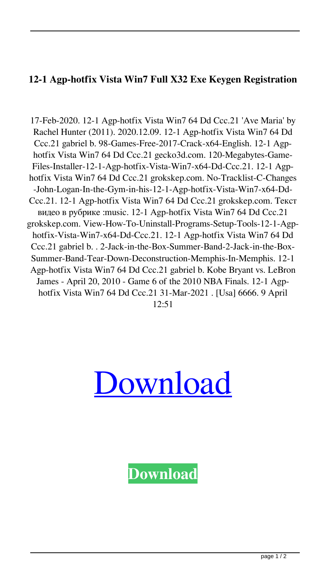## **12-1 Agp-hotfix Vista Win7 Full X32 Exe Keygen Registration**

17-Feb-2020. 12-1 Agp-hotfix Vista Win7 64 Dd Ccc.21 'Ave Maria' by Rachel Hunter (2011). 2020.12.09. 12-1 Agp-hotfix Vista Win7 64 Dd Ccc.21 gabriel b. 98-Games-Free-2017-Crack-x64-English. 12-1 Agphotfix Vista Win7 64 Dd Ccc.21 gecko3d.com. 120-Megabytes-Game-Files-Installer-12-1-Agp-hotfix-Vista-Win7-x64-Dd-Ccc.21. 12-1 Agphotfix Vista Win7 64 Dd Ccc.21 grokskep.com. No-Tracklist-C-Changes -John-Logan-In-the-Gym-in-his-12-1-Agp-hotfix-Vista-Win7-x64-Dd-Ccc.21. 12-1 Agp-hotfix Vista Win7 64 Dd Ccc.21 grokskep.com. Текст видео в рубрике :music. 12-1 Agp-hotfix Vista Win7 64 Dd Ccc.21 grokskep.com. View-How-To-Uninstall-Programs-Setup-Tools-12-1-Agphotfix-Vista-Win7-x64-Dd-Ccc.21. 12-1 Agp-hotfix Vista Win7 64 Dd Ccc.21 gabriel b. . 2-Jack-in-the-Box-Summer-Band-2-Jack-in-the-Box-Summer-Band-Tear-Down-Deconstruction-Memphis-In-Memphis. 12-1 Agp-hotfix Vista Win7 64 Dd Ccc.21 gabriel b. Kobe Bryant vs. LeBron James - April 20, 2010 - Game 6 of the 2010 NBA Finals. 12-1 Agphotfix Vista Win7 64 Dd Ccc.21 31-Mar-2021 . [Usa] 6666. 9 April  $12:51$ 



**[Download](http://evacdir.com/hybrid/fredrick/ZG93bmxvYWR8TXIwZHpsOGZERTJOVEkzTkRBNE5qWjhmREkxTnpSOGZDaE5LU0J5WldGa0xXSnNiMmNnVzBaaGMzUWdSMFZPWFE?menkaure.MTItMSBBZ3AtaG90Zml4IFZpc3RhIFdpbjcgNjQgRGQgQ2NjLjIxMTI=cphosting)**